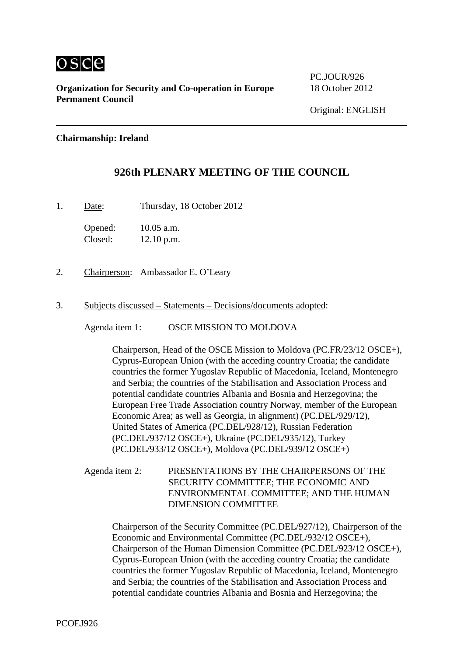

**Organization for Security and Co-operation in Europe** 18 October 2012 **Permanent Council**

PC.JOUR/926

## **Chairmanship: Ireland**

## **926th PLENARY MEETING OF THE COUNCIL**

1. Date: Thursday, 18 October 2012

Opened: 10.05 a.m. Closed: 12.10 p.m.

- 2. Chairperson: Ambassador E. O'Leary
- 3. Subjects discussed Statements Decisions/documents adopted:

Agenda item 1: OSCE MISSION TO MOLDOVA

Chairperson, Head of the OSCE Mission to Moldova (PC.FR/23/12 OSCE+), Cyprus-European Union (with the acceding country Croatia; the candidate countries the former Yugoslav Republic of Macedonia, Iceland, Montenegro and Serbia; the countries of the Stabilisation and Association Process and potential candidate countries Albania and Bosnia and Herzegovina; the European Free Trade Association country Norway, member of the European Economic Area; as well as Georgia, in alignment) (PC.DEL/929/12), United States of America (PC.DEL/928/12), Russian Federation (PC.DEL/937/12 OSCE+), Ukraine (PC.DEL/935/12), Turkey (PC.DEL/933/12 OSCE+), Moldova (PC.DEL/939/12 OSCE+)

Agenda item 2: PRESENTATIONS BY THE CHAIRPERSONS OF THE SECURITY COMMITTEE; THE ECONOMIC AND ENVIRONMENTAL COMMITTEE; AND THE HUMAN DIMENSION COMMITTEE

Chairperson of the Security Committee (PC.DEL/927/12), Chairperson of the Economic and Environmental Committee (PC.DEL/932/12 OSCE+), Chairperson of the Human Dimension Committee (PC.DEL/923/12 OSCE+), Cyprus-European Union (with the acceding country Croatia; the candidate countries the former Yugoslav Republic of Macedonia, Iceland, Montenegro and Serbia; the countries of the Stabilisation and Association Process and potential candidate countries Albania and Bosnia and Herzegovina; the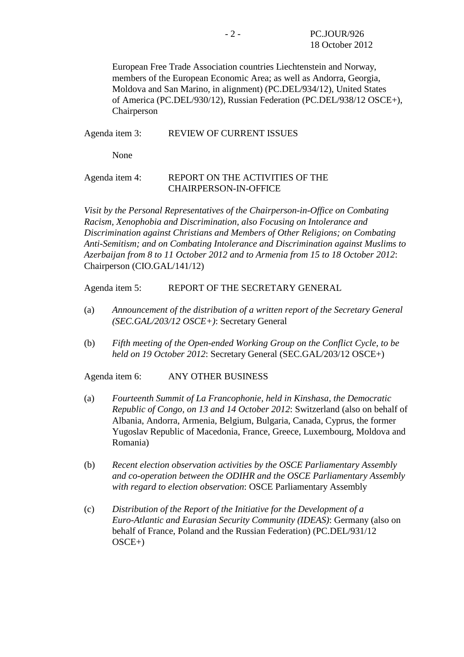European Free Trade Association countries Liechtenstein and Norway, members of the European Economic Area; as well as Andorra, Georgia, Moldova and San Marino, in alignment) (PC.DEL/934/12), United States of America (PC.DEL/930/12), Russian Federation (PC.DEL/938/12 OSCE+), Chairperson

## Agenda item 3: REVIEW OF CURRENT ISSUES

None

## Agenda item 4: REPORT ON THE ACTIVITIES OF THE CHAIRPERSON-IN-OFFICE

*Visit by the Personal Representatives of the Chairperson-in-Office on Combating Racism, Xenophobia and Discrimination, also Focusing on Intolerance and Discrimination against Christians and Members of Other Religions; on Combating Anti-Semitism; and on Combating Intolerance and Discrimination against Muslims to Azerbaijan from 8 to 11 October 2012 and to Armenia from 15 to 18 October 2012*: Chairperson (CIO.GAL/141/12)

Agenda item 5: REPORT OF THE SECRETARY GENERAL

- (a) *Announcement of the distribution of a written report of the Secretary General (SEC.GAL/203/12 OSCE+)*: Secretary General
- (b) *Fifth meeting of the Open-ended Working Group on the Conflict Cycle, to be held on 19 October 2012*: Secretary General (SEC.GAL/203/12 OSCE+)

Agenda item 6: ANY OTHER BUSINESS

- (a) *Fourteenth Summit of La Francophonie, held in Kinshasa, the Democratic Republic of Congo, on 13 and 14 October 2012*: Switzerland (also on behalf of Albania, Andorra, Armenia, Belgium, Bulgaria, Canada, Cyprus, the former Yugoslav Republic of Macedonia, France, Greece, Luxembourg, Moldova and Romania)
- (b) *Recent election observation activities by the OSCE Parliamentary Assembly and co-operation between the ODIHR and the OSCE Parliamentary Assembly with regard to election observation*: OSCE Parliamentary Assembly
- (c) *Distribution of the Report of the Initiative for the Development of a Euro-Atlantic and Eurasian Security Community (IDEAS)*: Germany (also on behalf of France, Poland and the Russian Federation) (PC.DEL/931/12 OSCE+)